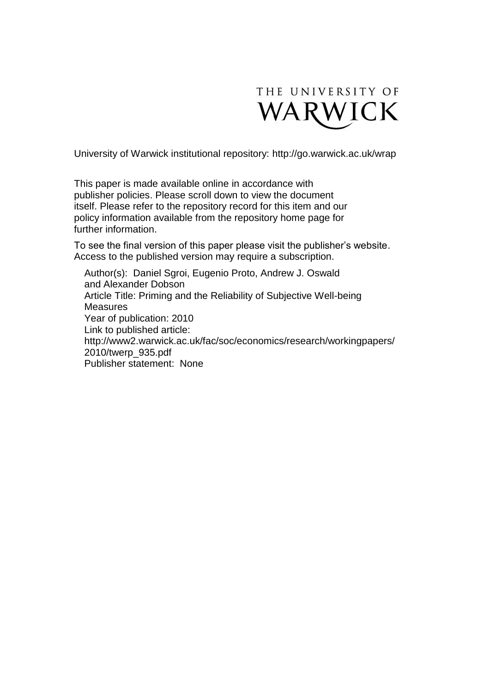

University of Warwick institutional repository:<http://go.warwick.ac.uk/wrap>

This paper is made available online in accordance with publisher policies. Please scroll down to view the document itself. Please refer to the repository record for this item and our policy information available from the repository home page for further information.

To see the final version of this paper please visit the publisher's website. Access to the published version may require a subscription.

Author(s): Daniel Sgroi, Eugenio Proto, Andrew J. Oswald and Alexander Dobson Article Title: Priming and the Reliability of Subjective Well-being **Measures** Year of publication: 2010 Link to published article: http://www2.warwick.ac.uk/fac/soc/economics/research/workingpapers/ 2010/twerp\_935.pdf Publisher statement: None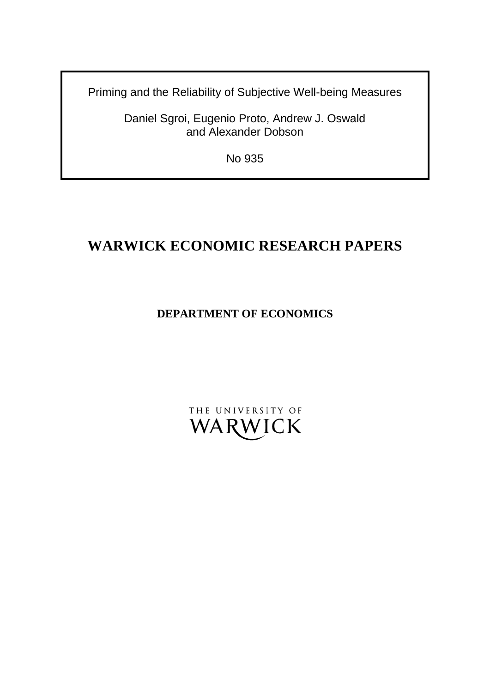Priming and the Reliability of Subjective Well-being Measures

Daniel Sgroi, Eugenio Proto, Andrew J. Oswald and Alexander Dobson

No 935

# **WARWICK ECONOMIC RESEARCH PAPERS**

## **DEPARTMENT OF ECONOMICS**

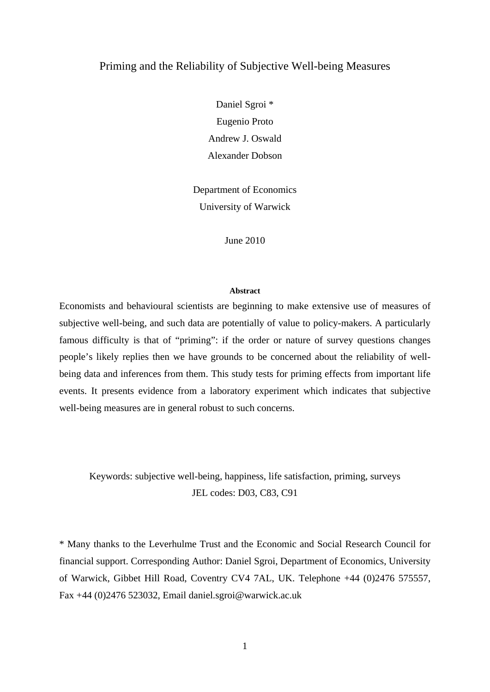## Priming and the Reliability of Subjective Well-being Measures

Daniel Sgroi \* Eugenio Proto Andrew J. Oswald Alexander Dobson

Department of Economics University of Warwick

June 2010

### **Abstract**

Economists and behavioural scientists are beginning to make extensive use of measures of subjective well-being, and such data are potentially of value to policy-makers. A particularly famous difficulty is that of "priming": if the order or nature of survey questions changes people's likely replies then we have grounds to be concerned about the reliability of wellbeing data and inferences from them. This study tests for priming effects from important life events. It presents evidence from a laboratory experiment which indicates that subjective well-being measures are in general robust to such concerns.

Keywords: subjective well-being, happiness, life satisfaction, priming, surveys JEL codes: D03, C83, C91

\* Many thanks to the Leverhulme Trust and the Economic and Social Research Council for financial support. Corresponding Author: Daniel Sgroi, Department of Economics, University of Warwick, Gibbet Hill Road, Coventry CV4 7AL, UK. Telephone +44 (0)2476 575557, Fax +44 (0)2476 523032, Email daniel.sgroi@warwick.ac.uk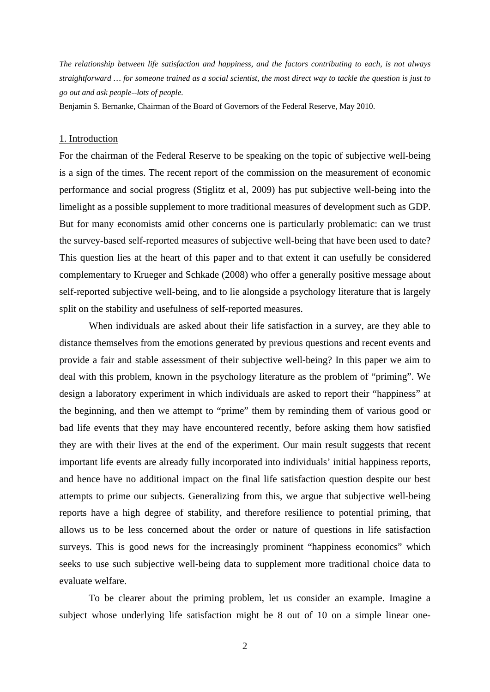*The relationship between life satisfaction and happiness, and the factors contributing to each, is not always straightforward … for someone trained as a social scientist, the most direct way to tackle the question is just to go out and ask people--lots of people.* 

Benjamin S. Bernanke, Chairman of the Board of Governors of the Federal Reserve, May 2010.

## 1. Introduction

For the chairman of the Federal Reserve to be speaking on the topic of subjective well-being is a sign of the times. The recent report of the commission on the measurement of economic performance and social progress (Stiglitz et al, 2009) has put subjective well-being into the limelight as a possible supplement to more traditional measures of development such as GDP. But for many economists amid other concerns one is particularly problematic: can we trust the survey-based self-reported measures of subjective well-being that have been used to date? This question lies at the heart of this paper and to that extent it can usefully be considered complementary to Krueger and Schkade (2008) who offer a generally positive message about self-reported subjective well-being, and to lie alongside a psychology literature that is largely split on the stability and usefulness of self-reported measures.

When individuals are asked about their life satisfaction in a survey, are they able to distance themselves from the emotions generated by previous questions and recent events and provide a fair and stable assessment of their subjective well-being? In this paper we aim to deal with this problem, known in the psychology literature as the problem of "priming". We design a laboratory experiment in which individuals are asked to report their "happiness" at the beginning, and then we attempt to "prime" them by reminding them of various good or bad life events that they may have encountered recently, before asking them how satisfied they are with their lives at the end of the experiment. Our main result suggests that recent important life events are already fully incorporated into individuals' initial happiness reports, and hence have no additional impact on the final life satisfaction question despite our best attempts to prime our subjects. Generalizing from this, we argue that subjective well-being reports have a high degree of stability, and therefore resilience to potential priming, that allows us to be less concerned about the order or nature of questions in life satisfaction surveys. This is good news for the increasingly prominent "happiness economics" which seeks to use such subjective well-being data to supplement more traditional choice data to evaluate welfare.

To be clearer about the priming problem, let us consider an example. Imagine a subject whose underlying life satisfaction might be 8 out of 10 on a simple linear one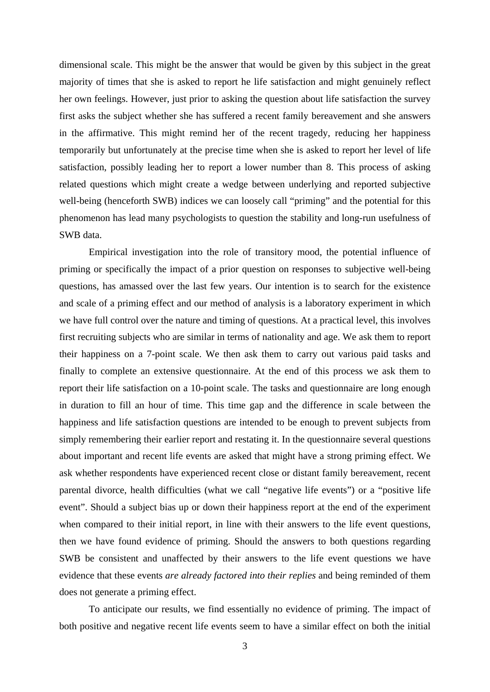dimensional scale. This might be the answer that would be given by this subject in the great majority of times that she is asked to report he life satisfaction and might genuinely reflect her own feelings. However, just prior to asking the question about life satisfaction the survey first asks the subject whether she has suffered a recent family bereavement and she answers in the affirmative. This might remind her of the recent tragedy, reducing her happiness temporarily but unfortunately at the precise time when she is asked to report her level of life satisfaction, possibly leading her to report a lower number than 8. This process of asking related questions which might create a wedge between underlying and reported subjective well-being (henceforth SWB) indices we can loosely call "priming" and the potential for this phenomenon has lead many psychologists to question the stability and long-run usefulness of SWB data.

Empirical investigation into the role of transitory mood, the potential influence of priming or specifically the impact of a prior question on responses to subjective well-being questions, has amassed over the last few years. Our intention is to search for the existence and scale of a priming effect and our method of analysis is a laboratory experiment in which we have full control over the nature and timing of questions. At a practical level, this involves first recruiting subjects who are similar in terms of nationality and age. We ask them to report their happiness on a 7-point scale. We then ask them to carry out various paid tasks and finally to complete an extensive questionnaire. At the end of this process we ask them to report their life satisfaction on a 10-point scale. The tasks and questionnaire are long enough in duration to fill an hour of time. This time gap and the difference in scale between the happiness and life satisfaction questions are intended to be enough to prevent subjects from simply remembering their earlier report and restating it. In the questionnaire several questions about important and recent life events are asked that might have a strong priming effect. We ask whether respondents have experienced recent close or distant family bereavement, recent parental divorce, health difficulties (what we call "negative life events") or a "positive life event". Should a subject bias up or down their happiness report at the end of the experiment when compared to their initial report, in line with their answers to the life event questions, then we have found evidence of priming. Should the answers to both questions regarding SWB be consistent and unaffected by their answers to the life event questions we have evidence that these events *are already factored into their replies* and being reminded of them does not generate a priming effect.

To anticipate our results, we find essentially no evidence of priming. The impact of both positive and negative recent life events seem to have a similar effect on both the initial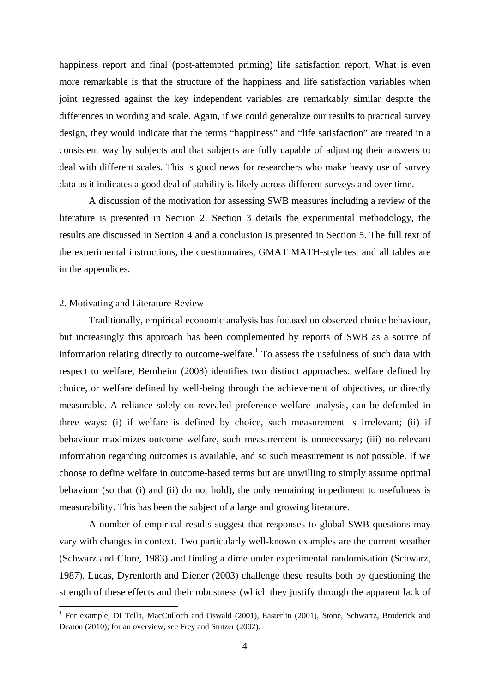happiness report and final (post-attempted priming) life satisfaction report. What is even more remarkable is that the structure of the happiness and life satisfaction variables when joint regressed against the key independent variables are remarkably similar despite the differences in wording and scale. Again, if we could generalize our results to practical survey design, they would indicate that the terms "happiness" and "life satisfaction" are treated in a consistent way by subjects and that subjects are fully capable of adjusting their answers to deal with different scales. This is good news for researchers who make heavy use of survey data as it indicates a good deal of stability is likely across different surveys and over time.

A discussion of the motivation for assessing SWB measures including a review of the literature is presented in Section 2. Section 3 details the experimental methodology, the results are discussed in Section 4 and a conclusion is presented in Section 5. The full text of the experimental instructions, the questionnaires, GMAT MATH-style test and all tables are in the appendices.

## 2. Motivating and Literature Review

<u>.</u>

Traditionally, empirical economic analysis has focused on observed choice behaviour, but increasingly this approach has been complemented by reports of SWB as a source of information relating directly to outcome-welfare.<sup>1</sup> To assess the usefulness of such data with respect to welfare, Bernheim (2008) identifies two distinct approaches: welfare defined by choice, or welfare defined by well-being through the achievement of objectives, or directly measurable. A reliance solely on revealed preference welfare analysis, can be defended in three ways: (i) if welfare is defined by choice, such measurement is irrelevant; (ii) if behaviour maximizes outcome welfare, such measurement is unnecessary; (iii) no relevant information regarding outcomes is available, and so such measurement is not possible. If we choose to define welfare in outcome-based terms but are unwilling to simply assume optimal behaviour (so that (i) and (ii) do not hold), the only remaining impediment to usefulness is measurability. This has been the subject of a large and growing literature.

A number of empirical results suggest that responses to global SWB questions may vary with changes in context. Two particularly well-known examples are the current weather (Schwarz and Clore, 1983) and finding a dime under experimental randomisation (Schwarz, 1987). Lucas, Dyrenforth and Diener (2003) challenge these results both by questioning the strength of these effects and their robustness (which they justify through the apparent lack of

<sup>&</sup>lt;sup>1</sup> For example, Di Tella, MacCulloch and Oswald (2001), Easterlin (2001), Stone, Schwartz, Broderick and Deaton (2010); for an overview, see Frey and Stutzer (2002).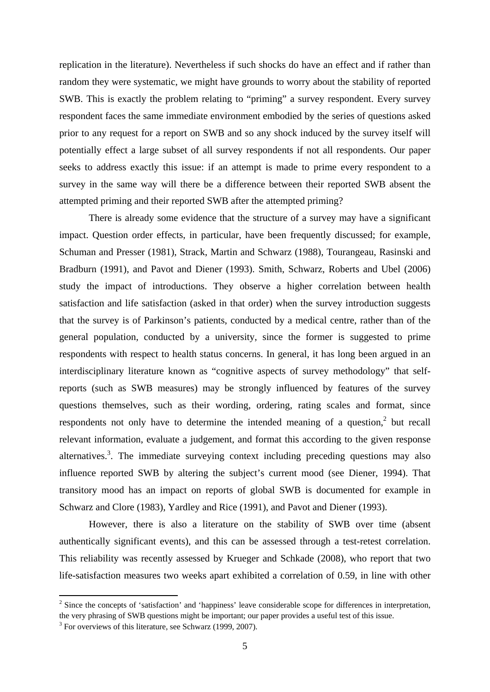replication in the literature). Nevertheless if such shocks do have an effect and if rather than random they were systematic, we might have grounds to worry about the stability of reported SWB. This is exactly the problem relating to "priming" a survey respondent. Every survey respondent faces the same immediate environment embodied by the series of questions asked prior to any request for a report on SWB and so any shock induced by the survey itself will potentially effect a large subset of all survey respondents if not all respondents. Our paper seeks to address exactly this issue: if an attempt is made to prime every respondent to a survey in the same way will there be a difference between their reported SWB absent the attempted priming and their reported SWB after the attempted priming?

There is already some evidence that the structure of a survey may have a significant impact. Question order effects, in particular, have been frequently discussed; for example, Schuman and Presser (1981), Strack, Martin and Schwarz (1988), Tourangeau, Rasinski and Bradburn (1991), and Pavot and Diener (1993). Smith, Schwarz, Roberts and Ubel (2006) study the impact of introductions. They observe a higher correlation between health satisfaction and life satisfaction (asked in that order) when the survey introduction suggests that the survey is of Parkinson's patients, conducted by a medical centre, rather than of the general population, conducted by a university, since the former is suggested to prime respondents with respect to health status concerns. In general, it has long been argued in an interdisciplinary literature known as "cognitive aspects of survey methodology" that selfreports (such as SWB measures) may be strongly influenced by features of the survey questions themselves, such as their wording, ordering, rating scales and format, since respondents not only have to determine the intended meaning of a question, $2$  but recall relevant information, evaluate a judgement, and format this according to the given response alternatives.<sup>3</sup>. The immediate surveying context including preceding questions may also influence reported SWB by altering the subject's current mood (see Diener, 1994). That transitory mood has an impact on reports of global SWB is documented for example in Schwarz and Clore (1983), Yardley and Rice (1991), and Pavot and Diener (1993).

However, there is also a literature on the stability of SWB over time (absent authentically significant events), and this can be assessed through a test-retest correlation. This reliability was recently assessed by Krueger and Schkade (2008), who report that two life-satisfaction measures two weeks apart exhibited a correlation of 0.59, in line with other

1

 $2$  Since the concepts of 'satisfaction' and 'happiness' leave considerable scope for differences in interpretation, the very phrasing of SWB questions might be important; our paper provides a useful test of this issue.

<sup>&</sup>lt;sup>3</sup> For overviews of this literature, see Schwarz (1999, 2007).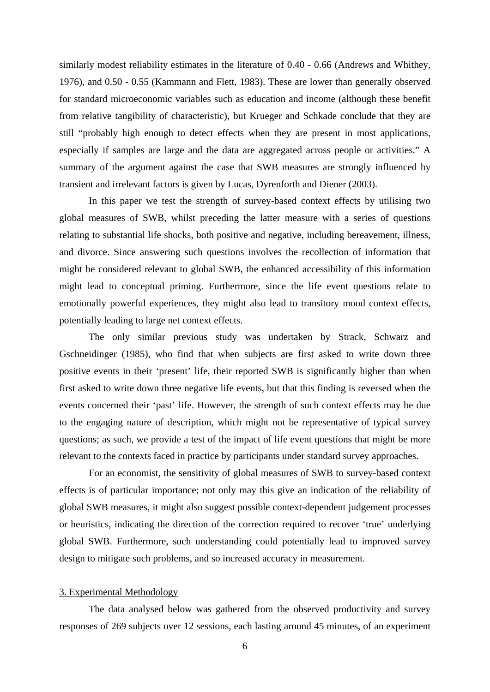similarly modest reliability estimates in the literature of 0.40 - 0.66 (Andrews and Whithey, 1976), and 0.50 - 0.55 (Kammann and Flett, 1983). These are lower than generally observed for standard microeconomic variables such as education and income (although these benefit from relative tangibility of characteristic), but Krueger and Schkade conclude that they are still "probably high enough to detect effects when they are present in most applications, especially if samples are large and the data are aggregated across people or activities." A summary of the argument against the case that SWB measures are strongly influenced by transient and irrelevant factors is given by Lucas, Dyrenforth and Diener (2003).

In this paper we test the strength of survey-based context effects by utilising two global measures of SWB, whilst preceding the latter measure with a series of questions relating to substantial life shocks, both positive and negative, including bereavement, illness, and divorce. Since answering such questions involves the recollection of information that might be considered relevant to global SWB, the enhanced accessibility of this information might lead to conceptual priming. Furthermore, since the life event questions relate to emotionally powerful experiences, they might also lead to transitory mood context effects, potentially leading to large net context effects.

The only similar previous study was undertaken by Strack, Schwarz and Gschneidinger (1985), who find that when subjects are first asked to write down three positive events in their 'present' life, their reported SWB is significantly higher than when first asked to write down three negative life events, but that this finding is reversed when the events concerned their 'past' life. However, the strength of such context effects may be due to the engaging nature of description, which might not be representative of typical survey questions; as such, we provide a test of the impact of life event questions that might be more relevant to the contexts faced in practice by participants under standard survey approaches.

For an economist, the sensitivity of global measures of SWB to survey-based context effects is of particular importance; not only may this give an indication of the reliability of global SWB measures, it might also suggest possible context-dependent judgement processes or heuristics, indicating the direction of the correction required to recover 'true' underlying global SWB. Furthermore, such understanding could potentially lead to improved survey design to mitigate such problems, and so increased accuracy in measurement.

## 3. Experimental Methodology

The data analysed below was gathered from the observed productivity and survey responses of 269 subjects over 12 sessions, each lasting around 45 minutes, of an experiment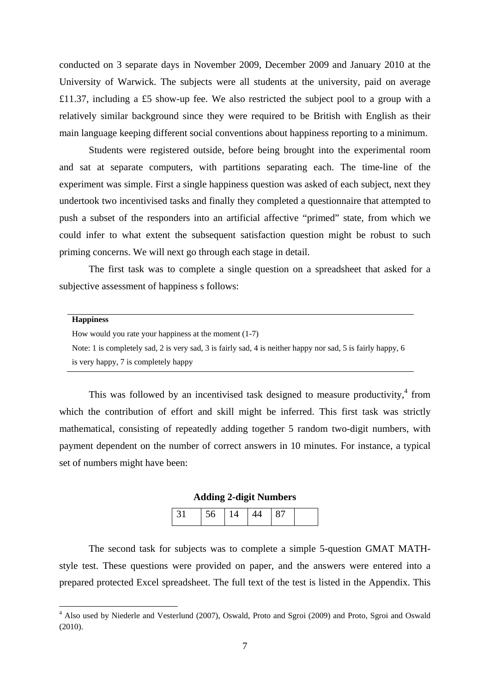conducted on 3 separate days in November 2009, December 2009 and January 2010 at the University of Warwick. The subjects were all students at the university, paid on average £11.37, including a £5 show-up fee. We also restricted the subject pool to a group with a relatively similar background since they were required to be British with English as their main language keeping different social conventions about happiness reporting to a minimum.

Students were registered outside, before being brought into the experimental room and sat at separate computers, with partitions separating each. The time-line of the experiment was simple. First a single happiness question was asked of each subject, next they undertook two incentivised tasks and finally they completed a questionnaire that attempted to push a subset of the responders into an artificial affective "primed" state, from which we could infer to what extent the subsequent satisfaction question might be robust to such priming concerns. We will next go through each stage in detail.

The first task was to complete a single question on a spreadsheet that asked for a subjective assessment of happiness s follows:

| <b>Happiness</b>                                                                                            |
|-------------------------------------------------------------------------------------------------------------|
| How would you rate your happiness at the moment $(1-7)$                                                     |
| Note: 1 is completely sad, 2 is very sad, 3 is fairly sad, 4 is neither happy nor sad, 5 is fairly happy, 6 |
| is very happy, 7 is completely happy                                                                        |

This was followed by an incentivised task designed to measure productivity, $4$  from which the contribution of effort and skill might be inferred. This first task was strictly mathematical, consisting of repeatedly adding together 5 random two-digit numbers, with payment dependent on the number of correct answers in 10 minutes. For instance, a typical set of numbers might have been:

| $\begin{array}{cc} 1 & A \end{array}$<br>$\perp$ 1 $\perp$ |
|------------------------------------------------------------|
|------------------------------------------------------------|

The second task for subjects was to complete a simple 5-question GMAT MATHstyle test. These questions were provided on paper, and the answers were entered into a prepared protected Excel spreadsheet. The full text of the test is listed in the Appendix. This

<u>.</u>

<sup>&</sup>lt;sup>4</sup> Also used by Niederle and Vesterlund (2007), Oswald, Proto and Sgroi (2009) and Proto, Sgroi and Oswald (2010).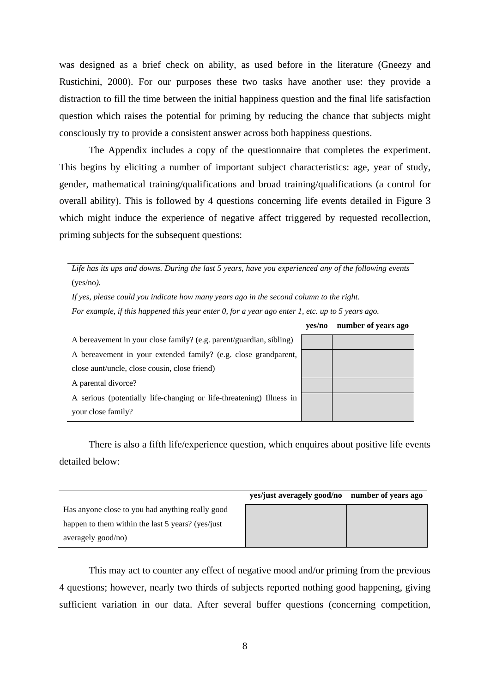was designed as a brief check on ability, as used before in the literature (Gneezy and Rustichini, 2000). For our purposes these two tasks have another use: they provide a distraction to fill the time between the initial happiness question and the final life satisfaction question which raises the potential for priming by reducing the chance that subjects might consciously try to provide a consistent answer across both happiness questions.

The Appendix includes a copy of the questionnaire that completes the experiment. This begins by eliciting a number of important subject characteristics: age, year of study, gender, mathematical training/qualifications and broad training/qualifications (a control for overall ability). This is followed by 4 questions concerning life events detailed in Figure 3 which might induce the experience of negative affect triggered by requested recollection, priming subjects for the subsequent questions:

*Life has its ups and downs. During the last 5 years, have you experienced any of the following events*  (yes/no*).*

*If yes, please could you indicate how many years ago in the second column to the right.*

*For example, if this happened this year enter 0, for a year ago enter 1, etc. up to 5 years ago.*

**yes/no number of years ago** 

| A bereavement in your close family? (e.g. parent/guardian, sibling)  |  |
|----------------------------------------------------------------------|--|
| A bereavement in your extended family? (e.g. close grandparent,      |  |
| close aunt/uncle, close cousin, close friend)                        |  |
| A parental divorce?                                                  |  |
| A serious (potentially life-changing or life-threatening) Illness in |  |
| your close family?                                                   |  |

There is also a fifth life/experience question, which enquires about positive life events detailed below:

|                                                   | yes/just averagely good/no number of years ago |  |
|---------------------------------------------------|------------------------------------------------|--|
| Has anyone close to you had anything really good  |                                                |  |
| happen to them within the last 5 years? (yes/just |                                                |  |
| averagely good/no)                                |                                                |  |

This may act to counter any effect of negative mood and/or priming from the previous 4 questions; however, nearly two thirds of subjects reported nothing good happening, giving sufficient variation in our data. After several buffer questions (concerning competition,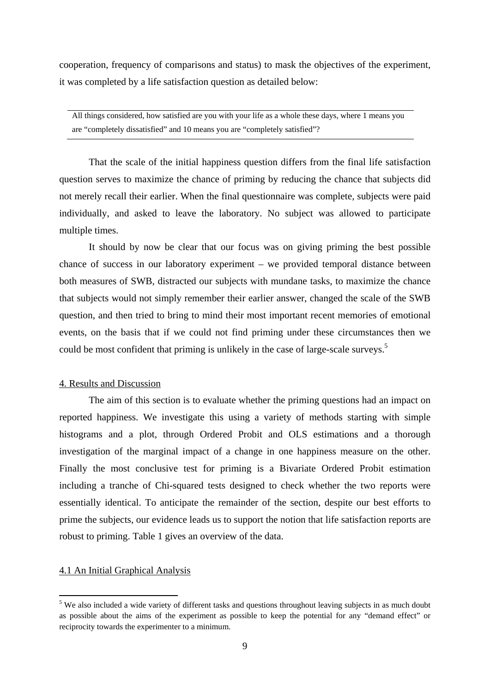cooperation, frequency of comparisons and status) to mask the objectives of the experiment, it was completed by a life satisfaction question as detailed below:

All things considered, how satisfied are you with your life as a whole these days, where 1 means you are "completely dissatisfied" and 10 means you are "completely satisfied"?

That the scale of the initial happiness question differs from the final life satisfaction question serves to maximize the chance of priming by reducing the chance that subjects did not merely recall their earlier. When the final questionnaire was complete, subjects were paid individually, and asked to leave the laboratory. No subject was allowed to participate multiple times.

It should by now be clear that our focus was on giving priming the best possible chance of success in our laboratory experiment – we provided temporal distance between both measures of SWB, distracted our subjects with mundane tasks, to maximize the chance that subjects would not simply remember their earlier answer, changed the scale of the SWB question, and then tried to bring to mind their most important recent memories of emotional events, on the basis that if we could not find priming under these circumstances then we could be most confident that priming is unlikely in the case of large-scale surveys.<sup>5</sup>

## 4. Results and Discussion

The aim of this section is to evaluate whether the priming questions had an impact on reported happiness. We investigate this using a variety of methods starting with simple histograms and a plot, through Ordered Probit and OLS estimations and a thorough investigation of the marginal impact of a change in one happiness measure on the other. Finally the most conclusive test for priming is a Bivariate Ordered Probit estimation including a tranche of Chi-squared tests designed to check whether the two reports were essentially identical. To anticipate the remainder of the section, despite our best efforts to prime the subjects, our evidence leads us to support the notion that life satisfaction reports are robust to priming. Table 1 gives an overview of the data.

## 4.1 An Initial Graphical Analysis

1

<sup>&</sup>lt;sup>5</sup> We also included a wide variety of different tasks and questions throughout leaving subjects in as much doubt as possible about the aims of the experiment as possible to keep the potential for any "demand effect" or reciprocity towards the experimenter to a minimum.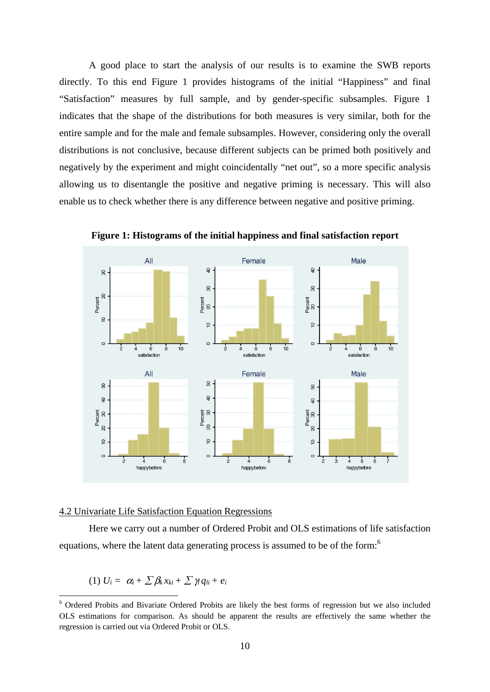directly. To this end Figure 1 provides histograms of the initial "Happiness" and final "Satisfaction" measures by full sample, and by gender-specific subsamples. Figure 1 indicates that the shape of the distributions for both measures is very similar, both for the entire sample and for the male and female subsamples. However, considering only the overall distributions is not conclusive, because different subjects can be primed both positively and negatively by the experiment and might coincidentally "net out", so a more specific analysis allowing us to disentangle the positive and negative priming is necessary. This will also enable us to check whether there is any difference between negative and positive priming. A good place to start the analysis of our results is to examine the SWB reports



Figure 1: Histograms of the initial happiness and final satisfaction report

## 4.2 Univariate Life Satisfaction Equation Regressions

equations, where the latent data generating process is assumed to be of the form:<sup>6</sup> Here we carry out a number of Ordered Probit and OLS estimations of life satisfaction

$$
(1) U_i = \alpha_i + \sum \beta_k x_{ki} + \sum \gamma_i q_{li} + e_i
$$

 $\overline{a}$ 

1

 $\overline{a}$ 

<sup>&</sup>lt;sup>6</sup> Ordered Probits and Bivariate Ordered Probits are likely the best forms of regression but we also included OLS estimations for comparison. As should be apparent the results are effectively the same whether the regression is carried out via Ordered Probit or OLS.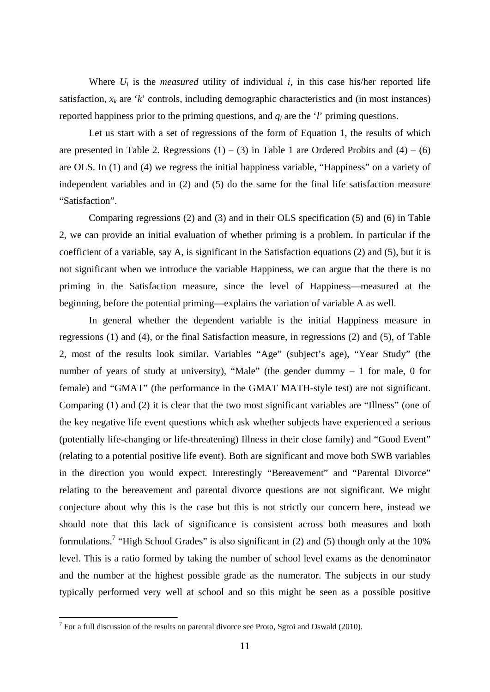Where  $U_i$  is the *measured* utility of individual *i*, in this case his/her reported life satisfaction,  $x_k$  are ' $k$ ' controls, including demographic characteristics and (in most instances) reported happiness prior to the priming questions, and *ql* are the '*l*' priming questions.

Let us start with a set of regressions of the form of Equation 1, the results of which are presented in Table 2. Regressions  $(1) - (3)$  in Table 1 are Ordered Probits and  $(4) - (6)$ are OLS. In (1) and (4) we regress the initial happiness variable, "Happiness" on a variety of independent variables and in (2) and (5) do the same for the final life satisfaction measure "Satisfaction".

Comparing regressions (2) and (3) and in their OLS specification (5) and (6) in Table 2, we can provide an initial evaluation of whether priming is a problem. In particular if the coefficient of a variable, say A, is significant in the Satisfaction equations (2) and (5), but it is not significant when we introduce the variable Happiness, we can argue that the there is no priming in the Satisfaction measure, since the level of Happiness—measured at the beginning, before the potential priming—explains the variation of variable A as well.

In general whether the dependent variable is the initial Happiness measure in regressions (1) and (4), or the final Satisfaction measure, in regressions (2) and (5), of Table 2, most of the results look similar. Variables "Age" (subject's age), "Year Study" (the number of years of study at university), "Male" (the gender dummy  $-1$  for male, 0 for female) and "GMAT" (the performance in the GMAT MATH-style test) are not significant. Comparing (1) and (2) it is clear that the two most significant variables are "Illness" (one of the key negative life event questions which ask whether subjects have experienced a serious (potentially life-changing or life-threatening) Illness in their close family) and "Good Event" (relating to a potential positive life event). Both are significant and move both SWB variables in the direction you would expect. Interestingly "Bereavement" and "Parental Divorce" relating to the bereavement and parental divorce questions are not significant. We might conjecture about why this is the case but this is not strictly our concern here, instead we should note that this lack of significance is consistent across both measures and both formulations.<sup>7</sup> "High School Grades" is also significant in (2) and (5) though only at the  $10\%$ level. This is a ratio formed by taking the number of school level exams as the denominator and the number at the highest possible grade as the numerator. The subjects in our study typically performed very well at school and so this might be seen as a possible positive

The *T* For a full discussion of the results on parental divorce see Proto, Sgroi and Oswald (2010).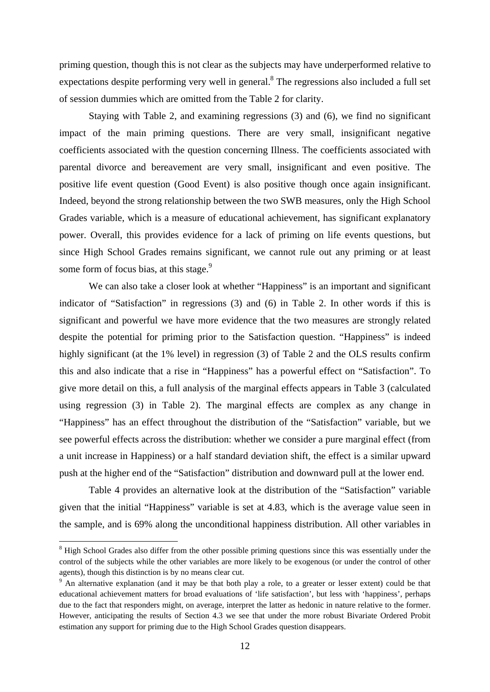priming question, though this is not clear as the subjects may have underperformed relative to expectations despite performing very well in general.<sup>8</sup> The regressions also included a full set of session dummies which are omitted from the Table 2 for clarity.

Staying with Table 2, and examining regressions (3) and (6), we find no significant impact of the main priming questions. There are very small, insignificant negative coefficients associated with the question concerning Illness. The coefficients associated with parental divorce and bereavement are very small, insignificant and even positive. The positive life event question (Good Event) is also positive though once again insignificant. Indeed, beyond the strong relationship between the two SWB measures, only the High School Grades variable, which is a measure of educational achievement, has significant explanatory power. Overall, this provides evidence for a lack of priming on life events questions, but since High School Grades remains significant, we cannot rule out any priming or at least some form of focus bias, at this stage.<sup>9</sup>

We can also take a closer look at whether "Happiness" is an important and significant indicator of "Satisfaction" in regressions (3) and (6) in Table 2. In other words if this is significant and powerful we have more evidence that the two measures are strongly related despite the potential for priming prior to the Satisfaction question. "Happiness" is indeed highly significant (at the 1% level) in regression (3) of Table 2 and the OLS results confirm this and also indicate that a rise in "Happiness" has a powerful effect on "Satisfaction". To give more detail on this, a full analysis of the marginal effects appears in Table 3 (calculated using regression (3) in Table 2). The marginal effects are complex as any change in "Happiness" has an effect throughout the distribution of the "Satisfaction" variable, but we see powerful effects across the distribution: whether we consider a pure marginal effect (from a unit increase in Happiness) or a half standard deviation shift, the effect is a similar upward push at the higher end of the "Satisfaction" distribution and downward pull at the lower end.

Table 4 provides an alternative look at the distribution of the "Satisfaction" variable given that the initial "Happiness" variable is set at 4.83, which is the average value seen in the sample, and is 69% along the unconditional happiness distribution. All other variables in

1

<sup>&</sup>lt;sup>8</sup> High School Grades also differ from the other possible priming questions since this was essentially under the control of the subjects while the other variables are more likely to be exogenous (or under the control of other agents), though this distinction is by no means clear cut.

<sup>&</sup>lt;sup>9</sup> An alternative explanation (and it may be that both play a role, to a greater or lesser extent) could be that educational achievement matters for broad evaluations of 'life satisfaction', but less with 'happiness', perhaps due to the fact that responders might, on average, interpret the latter as hedonic in nature relative to the former. However, anticipating the results of Section 4.3 we see that under the more robust Bivariate Ordered Probit estimation any support for priming due to the High School Grades question disappears.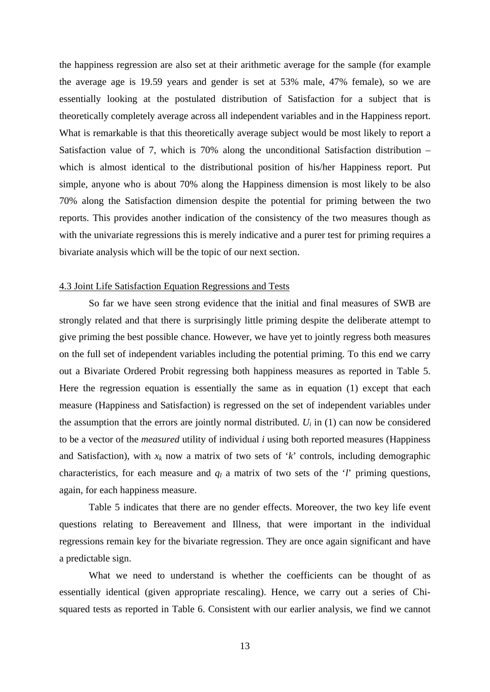the happiness regression are also set at their arithmetic average for the sample (for example the average age is 19.59 years and gender is set at 53% male, 47% female), so we are essentially looking at the postulated distribution of Satisfaction for a subject that is theoretically completely average across all independent variables and in the Happiness report. What is remarkable is that this theoretically average subject would be most likely to report a Satisfaction value of 7, which is 70% along the unconditional Satisfaction distribution – which is almost identical to the distributional position of his/her Happiness report. Put simple, anyone who is about 70% along the Happiness dimension is most likely to be also 70% along the Satisfaction dimension despite the potential for priming between the two reports. This provides another indication of the consistency of the two measures though as with the univariate regressions this is merely indicative and a purer test for priming requires a bivariate analysis which will be the topic of our next section.

## 4.3 Joint Life Satisfaction Equation Regressions and Tests

So far we have seen strong evidence that the initial and final measures of SWB are strongly related and that there is surprisingly little priming despite the deliberate attempt to give priming the best possible chance. However, we have yet to jointly regress both measures on the full set of independent variables including the potential priming. To this end we carry out a Bivariate Ordered Probit regressing both happiness measures as reported in Table 5. Here the regression equation is essentially the same as in equation (1) except that each measure (Happiness and Satisfaction) is regressed on the set of independent variables under the assumption that the errors are jointly normal distributed.  $U_i$  in (1) can now be considered to be a vector of the *measured* utility of individual *i* using both reported measures (Happiness and Satisfaction), with  $x_k$  now a matrix of two sets of ' $k$ ' controls, including demographic characteristics, for each measure and  $q_l$  a matrix of two sets of the '*l*' priming questions, again, for each happiness measure.

Table 5 indicates that there are no gender effects. Moreover, the two key life event questions relating to Bereavement and Illness, that were important in the individual regressions remain key for the bivariate regression. They are once again significant and have a predictable sign.

What we need to understand is whether the coefficients can be thought of as essentially identical (given appropriate rescaling). Hence, we carry out a series of Chisquared tests as reported in Table 6. Consistent with our earlier analysis, we find we cannot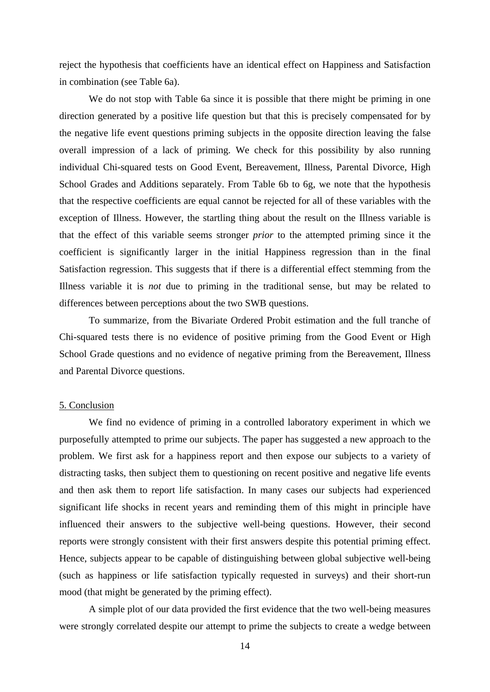reject the hypothesis that coefficients have an identical effect on Happiness and Satisfaction in combination (see Table 6a).

We do not stop with Table 6a since it is possible that there might be priming in one direction generated by a positive life question but that this is precisely compensated for by the negative life event questions priming subjects in the opposite direction leaving the false overall impression of a lack of priming. We check for this possibility by also running individual Chi-squared tests on Good Event, Bereavement, Illness, Parental Divorce, High School Grades and Additions separately. From Table 6b to 6g, we note that the hypothesis that the respective coefficients are equal cannot be rejected for all of these variables with the exception of Illness. However, the startling thing about the result on the Illness variable is that the effect of this variable seems stronger *prior* to the attempted priming since it the coefficient is significantly larger in the initial Happiness regression than in the final Satisfaction regression. This suggests that if there is a differential effect stemming from the Illness variable it is *not* due to priming in the traditional sense, but may be related to differences between perceptions about the two SWB questions.

To summarize, from the Bivariate Ordered Probit estimation and the full tranche of Chi-squared tests there is no evidence of positive priming from the Good Event or High School Grade questions and no evidence of negative priming from the Bereavement, Illness and Parental Divorce questions.

## 5. Conclusion

We find no evidence of priming in a controlled laboratory experiment in which we purposefully attempted to prime our subjects. The paper has suggested a new approach to the problem. We first ask for a happiness report and then expose our subjects to a variety of distracting tasks, then subject them to questioning on recent positive and negative life events and then ask them to report life satisfaction. In many cases our subjects had experienced significant life shocks in recent years and reminding them of this might in principle have influenced their answers to the subjective well-being questions. However, their second reports were strongly consistent with their first answers despite this potential priming effect. Hence, subjects appear to be capable of distinguishing between global subjective well-being (such as happiness or life satisfaction typically requested in surveys) and their short-run mood (that might be generated by the priming effect).

A simple plot of our data provided the first evidence that the two well-being measures were strongly correlated despite our attempt to prime the subjects to create a wedge between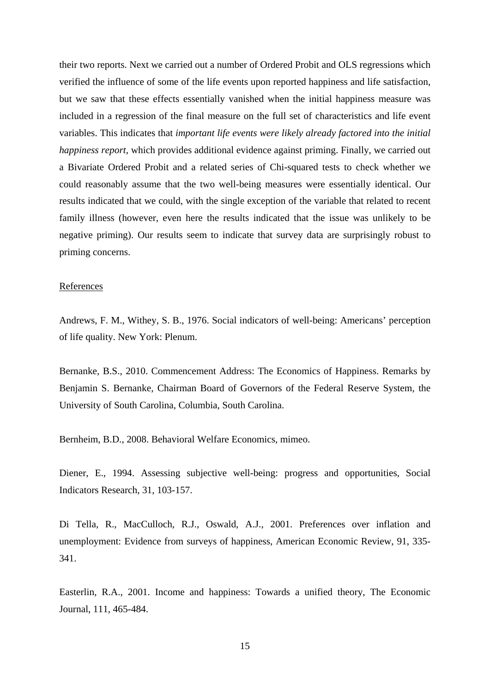their two reports. Next we carried out a number of Ordered Probit and OLS regressions which verified the influence of some of the life events upon reported happiness and life satisfaction, but we saw that these effects essentially vanished when the initial happiness measure was included in a regression of the final measure on the full set of characteristics and life event variables. This indicates that *important life events were likely already factored into the initial happiness report*, which provides additional evidence against priming. Finally, we carried out a Bivariate Ordered Probit and a related series of Chi-squared tests to check whether we could reasonably assume that the two well-being measures were essentially identical. Our results indicated that we could, with the single exception of the variable that related to recent family illness (however, even here the results indicated that the issue was unlikely to be negative priming). Our results seem to indicate that survey data are surprisingly robust to priming concerns.

## References

Andrews, F. M., Withey, S. B., 1976. Social indicators of well-being: Americans' perception of life quality. New York: Plenum.

Bernanke, B.S., 2010. Commencement Address: The Economics of Happiness. Remarks by Benjamin S. Bernanke, Chairman Board of Governors of the Federal Reserve System, the University of South Carolina, Columbia, South Carolina.

Bernheim, B.D., 2008. Behavioral Welfare Economics, mimeo.

Diener, E., 1994. Assessing subjective well-being: progress and opportunities, Social Indicators Research, 31, 103-157.

Di Tella, R., MacCulloch, R.J., Oswald, A.J., 2001. Preferences over inflation and unemployment: Evidence from surveys of happiness, American Economic Review, 91, 335- 341.

Easterlin, R.A., 2001. Income and happiness: Towards a unified theory, The Economic Journal, 111, 465-484.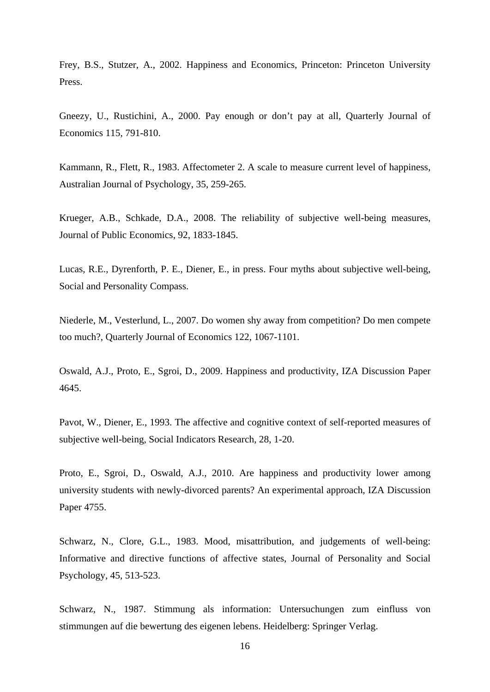Frey, B.S., Stutzer, A., 2002. Happiness and Economics, Princeton: Princeton University Press.

Gneezy, U., Rustichini, A., 2000. Pay enough or don't pay at all, Quarterly Journal of Economics 115, 791-810.

Kammann, R., Flett, R., 1983. Affectometer 2. A scale to measure current level of happiness, Australian Journal of Psychology, 35, 259-265.

Krueger, A.B., Schkade, D.A., 2008. The reliability of subjective well-being measures, Journal of Public Economics, 92, 1833-1845.

Lucas, R.E., Dyrenforth, P. E., Diener, E., in press. Four myths about subjective well-being, Social and Personality Compass.

Niederle, M., Vesterlund, L., 2007. Do women shy away from competition? Do men compete too much?, Quarterly Journal of Economics 122, 1067-1101.

Oswald, A.J., Proto, E., Sgroi, D., 2009. Happiness and productivity, IZA Discussion Paper 4645.

Pavot, W., Diener, E., 1993. The affective and cognitive context of self-reported measures of subjective well-being, Social Indicators Research, 28, 1-20.

Proto, E., Sgroi, D., Oswald, A.J., 2010. Are happiness and productivity lower among university students with newly-divorced parents? An experimental approach, IZA Discussion Paper 4755.

Schwarz, N., Clore, G.L., 1983. Mood, misattribution, and judgements of well-being: Informative and directive functions of affective states, Journal of Personality and Social Psychology, 45, 513-523.

Schwarz, N., 1987. Stimmung als information: Untersuchungen zum einfluss von stimmungen auf die bewertung des eigenen lebens. Heidelberg: Springer Verlag.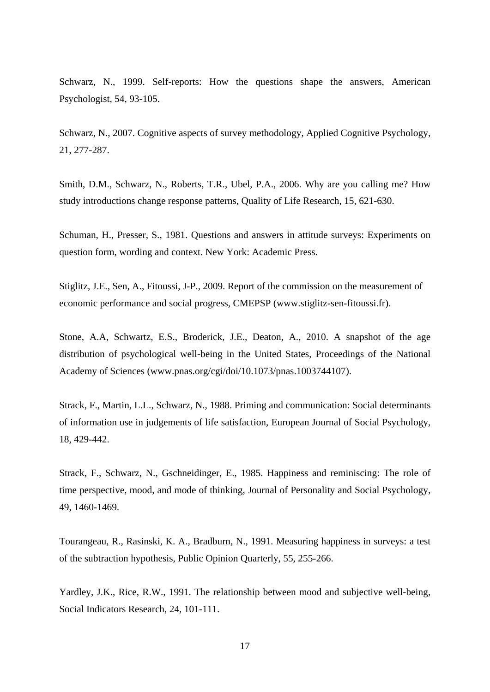Schwarz, N., 1999. Self-reports: How the questions shape the answers, American Psychologist, 54, 93-105.

Schwarz, N., 2007. Cognitive aspects of survey methodology, Applied Cognitive Psychology, 21, 277-287.

Smith, D.M., Schwarz, N., Roberts, T.R., Ubel, P.A., 2006. Why are you calling me? How study introductions change response patterns, Quality of Life Research, 15, 621-630.

Schuman, H., Presser, S., 1981. Questions and answers in attitude surveys: Experiments on question form, wording and context. New York: Academic Press.

Stiglitz, J.E., Sen, A., Fitoussi, J-P., 2009. Report of the commission on the measurement of economic performance and social progress, CMEPSP (www.stiglitz-sen-fitoussi.fr).

Stone, A.A, Schwartz, E.S., Broderick, J.E., Deaton, A., 2010. A snapshot of the age distribution of psychological well-being in the United States, Proceedings of the National Academy of Sciences (www.pnas.org/cgi/doi/10.1073/pnas.1003744107).

Strack, F., Martin, L.L., Schwarz, N., 1988. Priming and communication: Social determinants of information use in judgements of life satisfaction, European Journal of Social Psychology, 18, 429-442.

Strack, F., Schwarz, N., Gschneidinger, E., 1985. Happiness and reminiscing: The role of time perspective, mood, and mode of thinking, Journal of Personality and Social Psychology, 49, 1460-1469.

Tourangeau, R., Rasinski, K. A., Bradburn, N., 1991. Measuring happiness in surveys: a test of the subtraction hypothesis, Public Opinion Quarterly, 55, 255-266.

Yardley, J.K., Rice, R.W., 1991. The relationship between mood and subjective well-being, Social Indicators Research, 24, 101-111.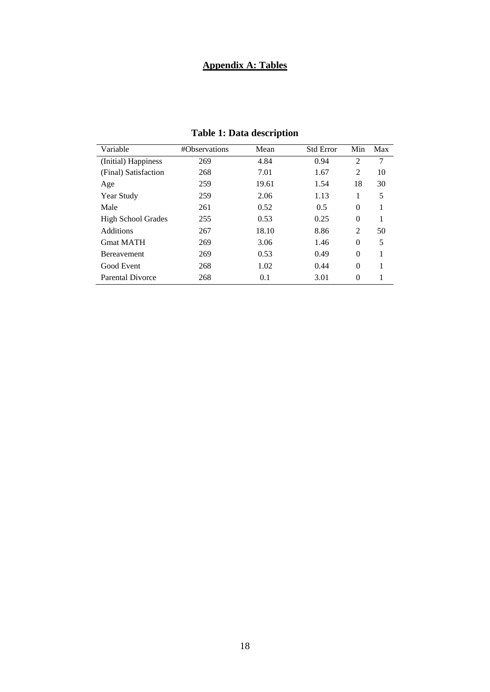## **Appendix A: Tables**

| Variable                  | #Observations | Mean  | <b>Std Error</b> | Min            | Max |
|---------------------------|---------------|-------|------------------|----------------|-----|
| (Initial) Happiness       | 269           | 4.84  | 0.94             | $\overline{2}$ | 7   |
| (Final) Satisfaction      | 268           | 7.01  | 1.67             | 2              | 10  |
| Age                       | 259           | 19.61 | 1.54             | 18             | 30  |
| <b>Year Study</b>         | 259           | 2.06  | 1.13             | 1              | 5   |
| Male                      | 261           | 0.52  | 0.5              | $\Omega$       | 1   |
| <b>High School Grades</b> | 255           | 0.53  | 0.25             | $\Omega$       | 1   |
| <b>Additions</b>          | 267           | 18.10 | 8.86             | 2              | 50  |
| <b>Gmat MATH</b>          | 269           | 3.06  | 1.46             | $\Omega$       | 5   |
| <b>Bereavement</b>        | 269           | 0.53  | 0.49             | $\theta$       | 1   |
| Good Event                | 268           | 1.02  | 0.44             | $\theta$       |     |
| <b>Parental Divorce</b>   | 268           | 0.1   | 3.01             | $\theta$       |     |

**Table 1: Data description**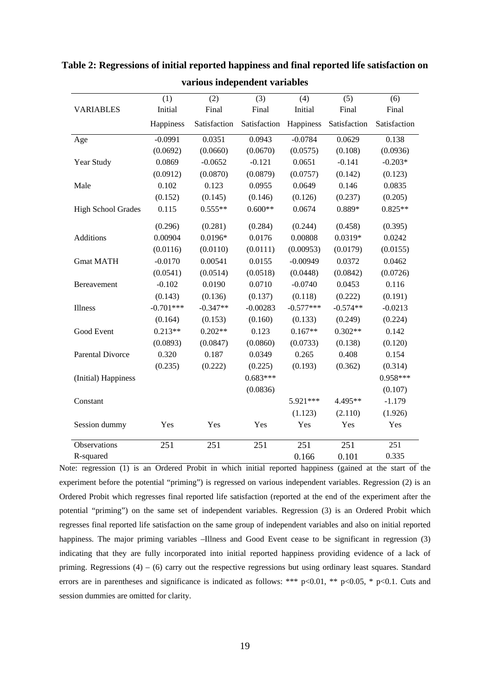|                           | (1)         | (2)          | (3)          | (4)         | (5)          | (6)          |
|---------------------------|-------------|--------------|--------------|-------------|--------------|--------------|
| <b>VARIABLES</b>          | Initial     | Final        | Final        | Initial     | Final        | Final        |
|                           | Happiness   | Satisfaction | Satisfaction | Happiness   | Satisfaction | Satisfaction |
| Age                       | $-0.0991$   | 0.0351       | 0.0943       | $-0.0784$   | 0.0629       | 0.138        |
|                           | (0.0692)    | (0.0660)     | (0.0670)     | (0.0575)    | (0.108)      | (0.0936)     |
| Year Study                | 0.0869      | $-0.0652$    | $-0.121$     | 0.0651      | $-0.141$     | $-0.203*$    |
|                           | (0.0912)    | (0.0870)     | (0.0879)     | (0.0757)    | (0.142)      | (0.123)      |
| Male                      | 0.102       | 0.123        | 0.0955       | 0.0649      | 0.146        | 0.0835       |
|                           | (0.152)     | (0.145)      | (0.146)      | (0.126)     | (0.237)      | (0.205)      |
| <b>High School Grades</b> | 0.115       | $0.555**$    | $0.600**$    | 0.0674      | 0.889*       | $0.825**$    |
|                           | (0.296)     | (0.281)      | (0.284)      | (0.244)     | (0.458)      | (0.395)      |
| Additions                 | 0.00904     | 0.0196*      | 0.0176       | 0.00808     | 0.0319*      | 0.0242       |
|                           | (0.0116)    | (0.0110)     | (0.0111)     | (0.00953)   | (0.0179)     | (0.0155)     |
| <b>Gmat MATH</b>          | $-0.0170$   | 0.00541      | 0.0155       | $-0.00949$  | 0.0372       | 0.0462       |
|                           | (0.0541)    | (0.0514)     | (0.0518)     | (0.0448)    | (0.0842)     | (0.0726)     |
| Bereavement               | $-0.102$    | 0.0190       | 0.0710       | $-0.0740$   | 0.0453       | 0.116        |
|                           | (0.143)     | (0.136)      | (0.137)      | (0.118)     | (0.222)      | (0.191)      |
| Illness                   | $-0.701***$ | $-0.347**$   | $-0.00283$   | $-0.577***$ | $-0.574**$   | $-0.0213$    |
|                           | (0.164)     | (0.153)      | (0.160)      | (0.133)     | (0.249)      | (0.224)      |
| Good Event                | $0.213**$   | $0.202**$    | 0.123        | $0.167**$   | $0.302**$    | 0.142        |
|                           | (0.0893)    | (0.0847)     | (0.0860)     | (0.0733)    | (0.138)      | (0.120)      |
| Parental Divorce          | 0.320       | 0.187        | 0.0349       | 0.265       | 0.408        | 0.154        |
|                           | (0.235)     | (0.222)      | (0.225)      | (0.193)     | (0.362)      | (0.314)      |
| (Initial) Happiness       |             |              | $0.683***$   |             |              | 0.958***     |
|                           |             |              | (0.0836)     |             |              | (0.107)      |
| Constant                  |             |              |              | 5.921***    | 4.495**      | $-1.179$     |
|                           |             |              |              | (1.123)     | (2.110)      | (1.926)      |
| Session dummy             | Yes         | Yes          | Yes          | Yes         | Yes          | Yes          |
| Observations              | 251         | 251          | 251          | 251         | 251          | 251          |
| R-squared                 |             |              |              | 0.166       | 0.101        | 0.335        |

**Table 2: Regressions of initial reported happiness and final reported life satisfaction on various independent variables** 

Note: regression (1) is an Ordered Probit in which initial reported happiness (gained at the start of the experiment before the potential "priming") is regressed on various independent variables. Regression (2) is an Ordered Probit which regresses final reported life satisfaction (reported at the end of the experiment after the potential "priming") on the same set of independent variables. Regression (3) is an Ordered Probit which regresses final reported life satisfaction on the same group of independent variables and also on initial reported happiness. The major priming variables –Illness and Good Event cease to be significant in regression (3) indicating that they are fully incorporated into initial reported happiness providing evidence of a lack of priming. Regressions  $(4) - (6)$  carry out the respective regressions but using ordinary least squares. Standard errors are in parentheses and significance is indicated as follows: \*\*\* p<0.01, \*\* p<0.05, \* p<0.1. Cuts and session dummies are omitted for clarity.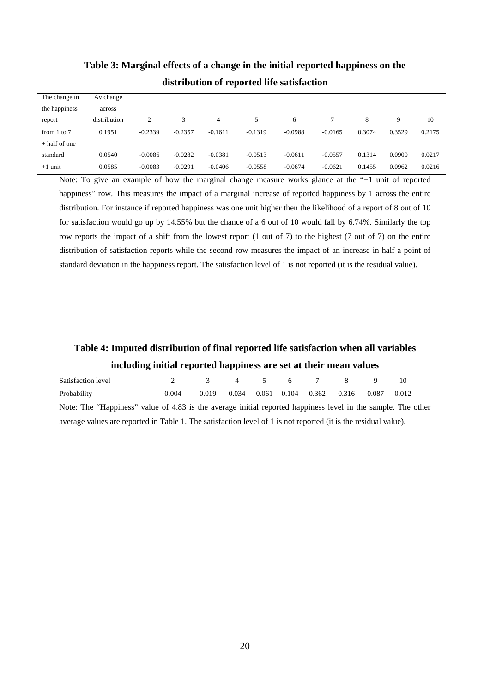| The change in   | Av change    |           |           |           |           |           |           |        |        |        |
|-----------------|--------------|-----------|-----------|-----------|-----------|-----------|-----------|--------|--------|--------|
| the happiness   | across       |           |           |           |           |           |           |        |        |        |
| report          | distribution | 2         | 3         | 4         | 5         | 6         |           | 8      | 9      | 10     |
| from $1$ to $7$ | 0.1951       | $-0.2339$ | $-0.2357$ | $-0.1611$ | $-0.1319$ | $-0.0988$ | $-0.0165$ | 0.3074 | 0.3529 | 0.2175 |
| $+$ half of one |              |           |           |           |           |           |           |        |        |        |
| standard        | 0.0540       | $-0.0086$ | $-0.0282$ | $-0.0381$ | $-0.0513$ | $-0.0611$ | $-0.0557$ | 0.1314 | 0.0900 | 0.0217 |
| $+1$ unit       | 0.0585       | $-0.0083$ | $-0.0291$ | $-0.0406$ | $-0.0558$ | $-0.0674$ | $-0.0621$ | 0.1455 | 0.0962 | 0.0216 |

**Table 3: Marginal effects of a change in the initial reported happiness on the distribution of reported life satisfaction** 

Note: To give an example of how the marginal change measure works glance at the "+1 unit of reported happiness" row. This measures the impact of a marginal increase of reported happiness by 1 across the entire distribution. For instance if reported happiness was one unit higher then the likelihood of a report of 8 out of 10 for satisfaction would go up by 14.55% but the chance of a 6 out of 10 would fall by 6.74%. Similarly the top row reports the impact of a shift from the lowest report (1 out of 7) to the highest (7 out of 7) on the entire distribution of satisfaction reports while the second row measures the impact of an increase in half a point of standard deviation in the happiness report. The satisfaction level of 1 is not reported (it is the residual value).

## **Table 4: Imputed distribution of final reported life satisfaction when all variables including initial reported happiness are set at their mean values**

| <b>Satisfaction level</b> |       |       |       | 6 |                                 |       |       |
|---------------------------|-------|-------|-------|---|---------------------------------|-------|-------|
| Probability               | 0.004 | 0.019 | 0.034 |   | $0.061$ $0.104$ $0.362$ $0.316$ | 0.087 | 0.012 |

Note: The "Happiness" value of 4.83 is the average initial reported happiness level in the sample. The other average values are reported in Table 1. The satisfaction level of 1 is not reported (it is the residual value).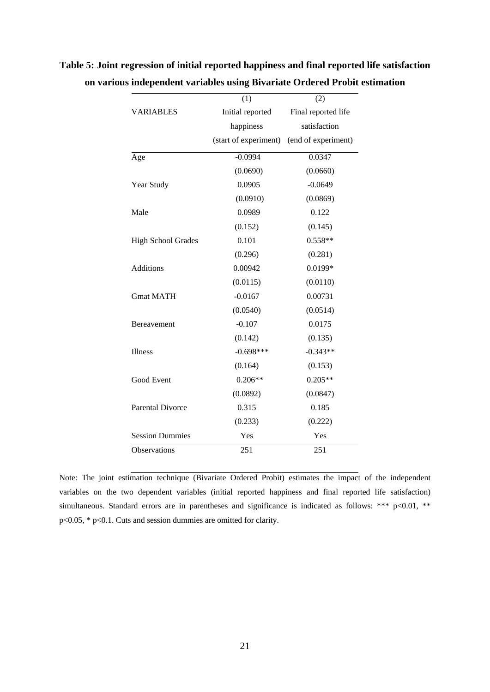|                           | (1)                   | (2)                 |
|---------------------------|-----------------------|---------------------|
| <b>VARIABLES</b>          | Initial reported      | Final reported life |
|                           | happiness             | satisfaction        |
|                           | (start of experiment) | (end of experiment) |
| Age                       | $-0.0994$             | 0.0347              |
|                           | (0.0690)              | (0.0660)            |
| Year Study                | 0.0905                | $-0.0649$           |
|                           | (0.0910)              | (0.0869)            |
| Male                      | 0.0989                | 0.122               |
|                           | (0.152)               | (0.145)             |
| <b>High School Grades</b> | 0.101                 | $0.558**$           |
|                           | (0.296)               | (0.281)             |
| Additions                 | 0.00942               | 0.0199*             |
|                           | (0.0115)              | (0.0110)            |
| <b>Gmat MATH</b>          | $-0.0167$             | 0.00731             |
|                           | (0.0540)              | (0.0514)            |
| Bereavement               | $-0.107$              | 0.0175              |
|                           | (0.142)               | (0.135)             |
| Illness                   | $-0.698***$           | $-0.343**$          |
|                           | (0.164)               | (0.153)             |
| Good Event                | $0.206**$             | $0.205**$           |
|                           | (0.0892)              | (0.0847)            |
| <b>Parental Divorce</b>   | 0.315                 | 0.185               |
|                           | (0.233)               | (0.222)             |
| <b>Session Dummies</b>    | Yes                   | Yes                 |
| Observations              | 251                   | 251                 |
|                           |                       |                     |

**Table 5: Joint regression of initial reported happiness and final reported life satisfaction on various independent variables using Bivariate Ordered Probit estimation** 

Note: The joint estimation technique (Bivariate Ordered Probit) estimates the impact of the independent variables on the two dependent variables (initial reported happiness and final reported life satisfaction) simultaneous. Standard errors are in parentheses and significance is indicated as follows: \*\*\* p<0.01, \*\* p<0.05, \* p<0.1. Cuts and session dummies are omitted for clarity.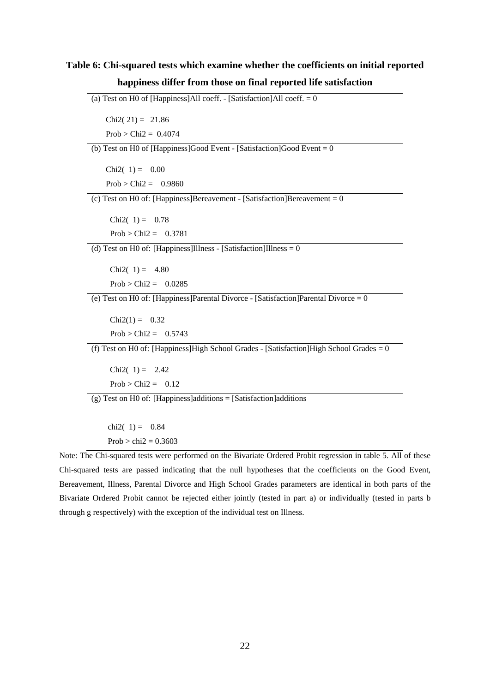## **Table 6: Chi-squared tests which examine whether the coefficients on initial reported happiness differ from those on final reported life satisfaction**

(a) Test on H0 of [Happiness]All coeff. - [Satisfaction]All coeff. = 0  $Chi2(21) = 21.86$  $Prob > Chi2 = 0.4074$ (b) Test on H0 of [Happiness]Good Event - [Satisfaction]Good Event =  $0$  $Chi2(1) = 0.00$  $Prob > Chi2 = 0.9860$ (c) Test on H0 of: [Happiness]Bereavement - [Satisfaction]Bereavement =  $0$  $Chi2(1) = 0.78$  $Prob > Chi2 = 0.3781$ (d) Test on H0 of: [Happiness]Illness - [Satisfaction]Illness = 0  $Chi2(1) = 4.80$  $Prob > Chi2 = 0.0285$ (e) Test on H0 of: [Happiness]Parental Divorce - [Satisfaction]Parental Divorce = 0  $Chi2(1) = 0.32$  $Prob > Chi2 = 0.5743$ (f) Test on H0 of: [Happiness]High School Grades - [Satisfaction]High School Grades = 0  $Chi2(1) = 2.42$  $Prob > Chi2 = 0.12$ 

 $(g)$  Test on H0 of: [Happiness]additions = [Satisfaction]additions

chi2( $1$ ) = 0.84  $Prob > chi2 = 0.3603$ 

Note: The Chi-squared tests were performed on the Bivariate Ordered Probit regression in table 5. All of these Chi-squared tests are passed indicating that the null hypotheses that the coefficients on the Good Event, Bereavement, Illness, Parental Divorce and High School Grades parameters are identical in both parts of the Bivariate Ordered Probit cannot be rejected either jointly (tested in part a) or individually (tested in parts b through g respectively) with the exception of the individual test on Illness.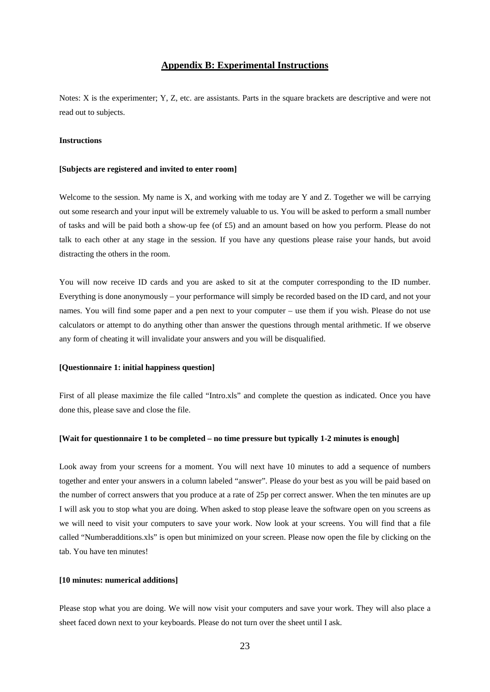## **Appendix B: Experimental Instructions**

Notes: X is the experimenter; Y, Z, etc. are assistants. Parts in the square brackets are descriptive and were not read out to subjects.

#### **Instructions**

#### **[Subjects are registered and invited to enter room]**

Welcome to the session. My name is X, and working with me today are Y and Z. Together we will be carrying out some research and your input will be extremely valuable to us. You will be asked to perform a small number of tasks and will be paid both a show-up fee (of £5) and an amount based on how you perform. Please do not talk to each other at any stage in the session. If you have any questions please raise your hands, but avoid distracting the others in the room.

You will now receive ID cards and you are asked to sit at the computer corresponding to the ID number. Everything is done anonymously – your performance will simply be recorded based on the ID card, and not your names. You will find some paper and a pen next to your computer – use them if you wish. Please do not use calculators or attempt to do anything other than answer the questions through mental arithmetic. If we observe any form of cheating it will invalidate your answers and you will be disqualified.

#### **[Questionnaire 1: initial happiness question]**

First of all please maximize the file called "Intro.xls" and complete the question as indicated. Once you have done this, please save and close the file.

#### **[Wait for questionnaire 1 to be completed – no time pressure but typically 1-2 minutes is enough]**

Look away from your screens for a moment. You will next have 10 minutes to add a sequence of numbers together and enter your answers in a column labeled "answer". Please do your best as you will be paid based on the number of correct answers that you produce at a rate of 25p per correct answer. When the ten minutes are up I will ask you to stop what you are doing. When asked to stop please leave the software open on you screens as we will need to visit your computers to save your work. Now look at your screens. You will find that a file called "Numberadditions.xls" is open but minimized on your screen. Please now open the file by clicking on the tab. You have ten minutes!

#### **[10 minutes: numerical additions]**

Please stop what you are doing. We will now visit your computers and save your work. They will also place a sheet faced down next to your keyboards. Please do not turn over the sheet until I ask.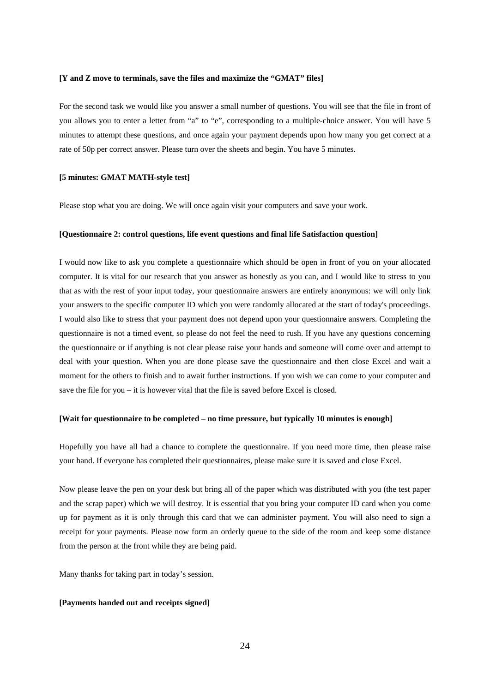#### **[Y and Z move to terminals, save the files and maximize the "GMAT" files]**

For the second task we would like you answer a small number of questions. You will see that the file in front of you allows you to enter a letter from "a" to "e", corresponding to a multiple-choice answer. You will have 5 minutes to attempt these questions, and once again your payment depends upon how many you get correct at a rate of 50p per correct answer. Please turn over the sheets and begin. You have 5 minutes.

#### **[5 minutes: GMAT MATH-style test]**

Please stop what you are doing. We will once again visit your computers and save your work.

#### **[Questionnaire 2: control questions, life event questions and final life Satisfaction question]**

I would now like to ask you complete a questionnaire which should be open in front of you on your allocated computer. It is vital for our research that you answer as honestly as you can, and I would like to stress to you that as with the rest of your input today, your questionnaire answers are entirely anonymous: we will only link your answers to the specific computer ID which you were randomly allocated at the start of today's proceedings. I would also like to stress that your payment does not depend upon your questionnaire answers. Completing the questionnaire is not a timed event, so please do not feel the need to rush. If you have any questions concerning the questionnaire or if anything is not clear please raise your hands and someone will come over and attempt to deal with your question. When you are done please save the questionnaire and then close Excel and wait a moment for the others to finish and to await further instructions. If you wish we can come to your computer and save the file for you – it is however vital that the file is saved before Excel is closed.

#### **[Wait for questionnaire to be completed – no time pressure, but typically 10 minutes is enough]**

Hopefully you have all had a chance to complete the questionnaire. If you need more time, then please raise your hand. If everyone has completed their questionnaires, please make sure it is saved and close Excel.

Now please leave the pen on your desk but bring all of the paper which was distributed with you (the test paper and the scrap paper) which we will destroy. It is essential that you bring your computer ID card when you come up for payment as it is only through this card that we can administer payment. You will also need to sign a receipt for your payments. Please now form an orderly queue to the side of the room and keep some distance from the person at the front while they are being paid.

Many thanks for taking part in today's session.

#### **[Payments handed out and receipts signed]**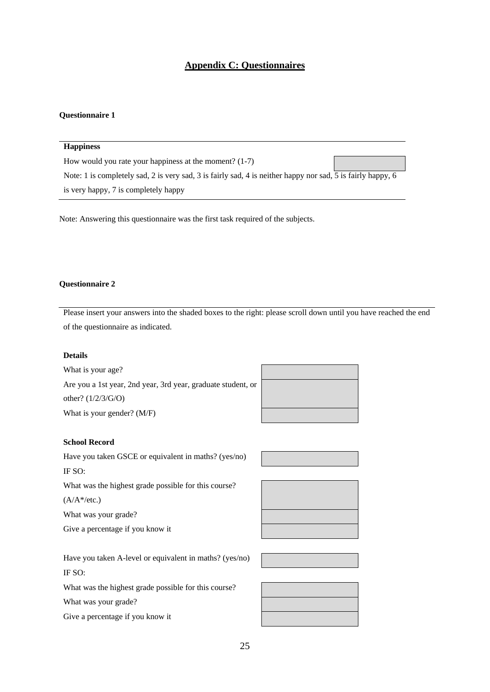## **Appendix C: Questionnaires**

#### **Questionnaire 1**

| <b>Happiness</b>                                                                                            |  |
|-------------------------------------------------------------------------------------------------------------|--|
|                                                                                                             |  |
| How would you rate your happiness at the moment? (1-7)                                                      |  |
| Note: 1 is completely sad, 2 is very sad, 3 is fairly sad, 4 is neither happy nor sad, 5 is fairly happy, 6 |  |
| is very happy, 7 is completely happy                                                                        |  |

Note: Answering this questionnaire was the first task required of the subjects.

## **Questionnaire 2**

Please insert your answers into the shaded boxes to the right: please scroll down until you have reached the end of the questionnaire as indicated.

## **Details**

What is your age? Are you a 1st year, 2nd year, 3rd year, graduate student, or other? (1/2/3/G/O) What is your gender? (M/F)

## **School Record**

Have you taken GSCE or equivalent in maths? (yes/no) IF SO: What was the highest grade possible for this course?  $(A/A^* / etc.)$ What was your grade? Give a percentage if you know it Have you taken A-level or equivalent in maths? (yes/no) IF SO: What was the highest grade possible for this course? What was your grade? Give a percentage if you know it









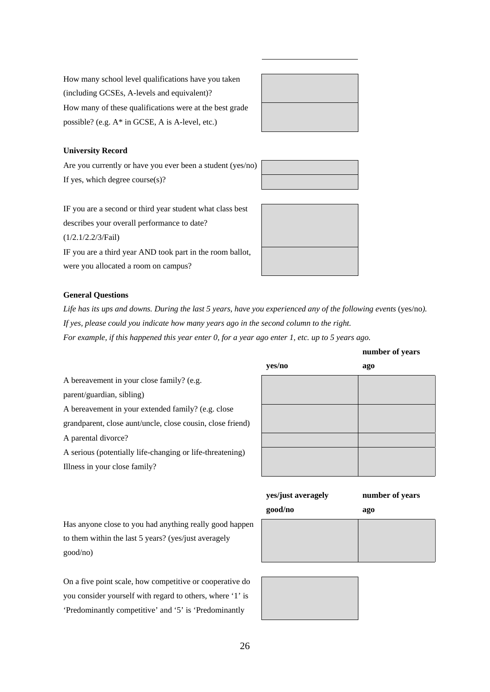How many school level qualifications have you taken (including GCSEs, A-levels and equivalent)? How many of these qualifications were at the best grade possible? (e.g. A\* in GCSE, A is A-level, etc.)

## **University Record**

Are you currently or have you ever been a student (yes/no) If yes, which degree course(s)?

IF you are a second or third year student what class best describes your overall performance to date? (1/2.1/2.2/3/Fail)

IF you are a third year AND took part in the room ballot, were you allocated a room on campus?

## **General Questions**

Illness in your close family?

Life has its ups and downs. During the last 5 years, have you experienced any of the following events (yes/no). *If yes, please could you indicate how many years ago in the second column to the right.*

*For example, if this happened this year enter 0, for a year ago enter 1, etc. up to 5 years ago.*

A bereavement in your close family? (e.g. parent/guardian, sibling) A bereavement in your extended family? (e.g. close grandparent, close aunt/uncle, close cousin, close friend) A parental divorce? A serious (potentially life-changing or life-threatening)

Has anyone close to you had anything really good happen to them within the last 5 years? (yes/just averagely good/no)

On a five point scale, how competitive or cooperative do you consider yourself with regard to others, where '1' is 'Predominantly competitive' and '5' is 'Predominantly

| yes/no | ago |
|--------|-----|
|        |     |
|        |     |
|        |     |
|        |     |
|        |     |
|        |     |
|        |     |







## **number of years**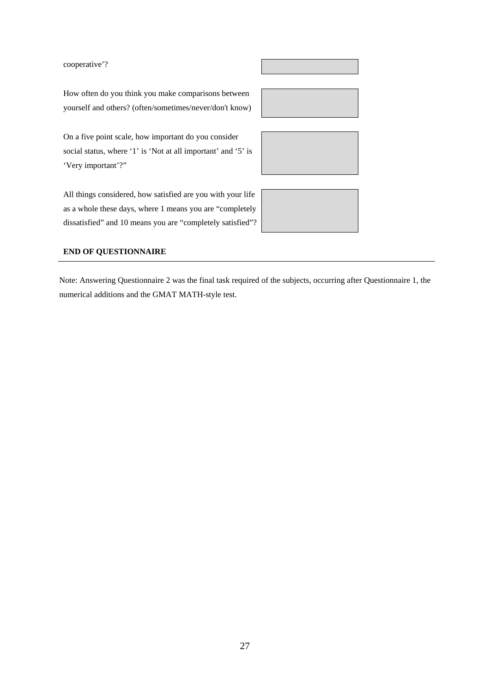cooperative'?

How often do you think you make comparisons between yourself and others? (often/sometimes/never/don't know)

On a five point scale, how important do you consider social status, where '1' is 'Not at all important' and '5' is 'Very important'?"

All things considered, how satisfied are you with your life as a whole these days, where 1 means you are "completely dissatisfied" and 10 means you are "completely satisfied"?







## **END OF QUESTIONNAIRE**

Note: Answering Questionnaire 2 was the final task required of the subjects, occurring after Questionnaire 1, the numerical additions and the GMAT MATH-style test.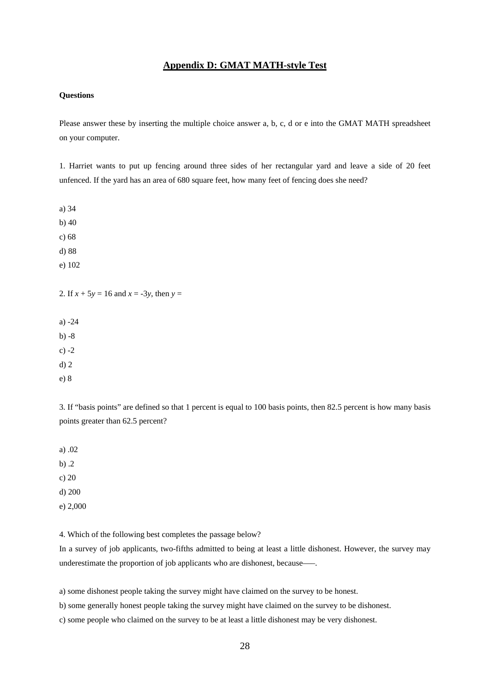## **Appendix D: GMAT MATH-style Test**

## **Questions**

Please answer these by inserting the multiple choice answer a, b, c, d or e into the GMAT MATH spreadsheet on your computer.

1. Harriet wants to put up fencing around three sides of her rectangular yard and leave a side of 20 feet unfenced. If the yard has an area of 680 square feet, how many feet of fencing does she need?

a) 34

b) 40

c) 68

d) 88

e) 102

2. If  $x + 5y = 16$  and  $x = -3y$ , then  $y =$ 

a) -24

 $b) -8$ 

 $c) -2$ 

d) 2

e) 8

3. If "basis points" are defined so that 1 percent is equal to 100 basis points, then 82.5 percent is how many basis points greater than 62.5 percent?

a) .02 b)  $.2$ 

c) 20

d) 200

e) 2,000

4. Which of the following best completes the passage below?

In a survey of job applicants, two-fifths admitted to being at least a little dishonest. However, the survey may underestimate the proportion of job applicants who are dishonest, because—–.

a) some dishonest people taking the survey might have claimed on the survey to be honest.

b) some generally honest people taking the survey might have claimed on the survey to be dishonest.

c) some people who claimed on the survey to be at least a little dishonest may be very dishonest.